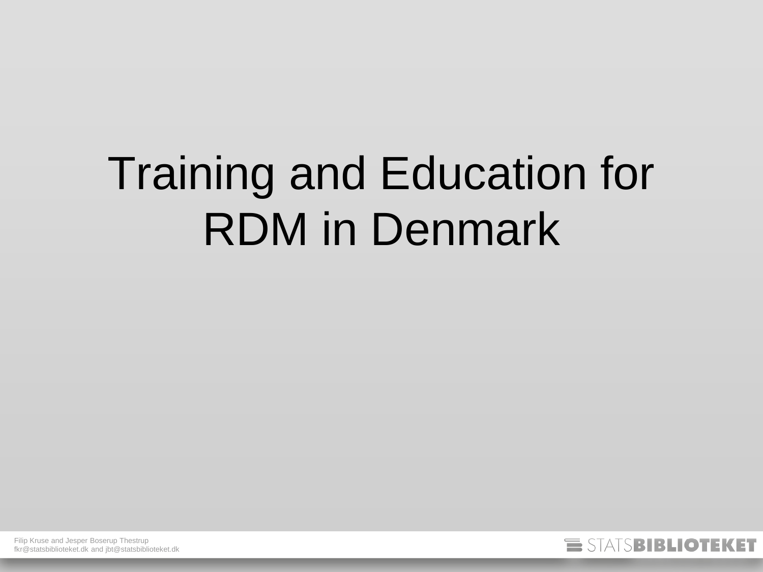## Training and Education for RDM in Denmark

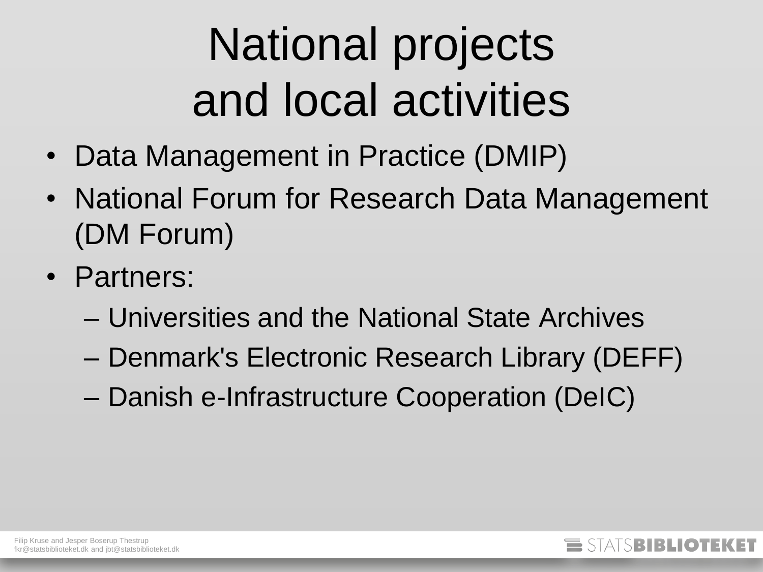# National projects and local activities

- Data Management in Practice (DMIP)
- National Forum for Research Data Management (DM Forum)
- Partners:
	- Universities and the National State Archives
	- Denmark's Electronic Research Library (DEFF)
	- Danish e-Infrastructure Cooperation (DeIC)

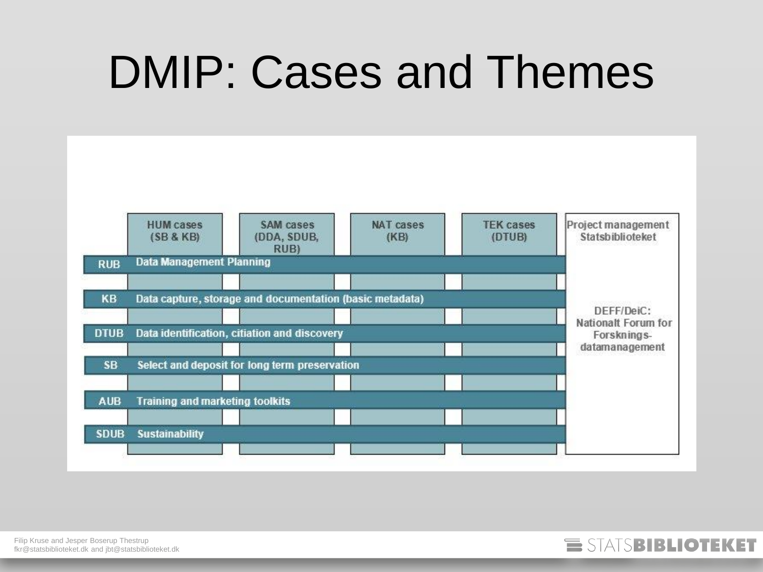### DMIP: Cases and Themes



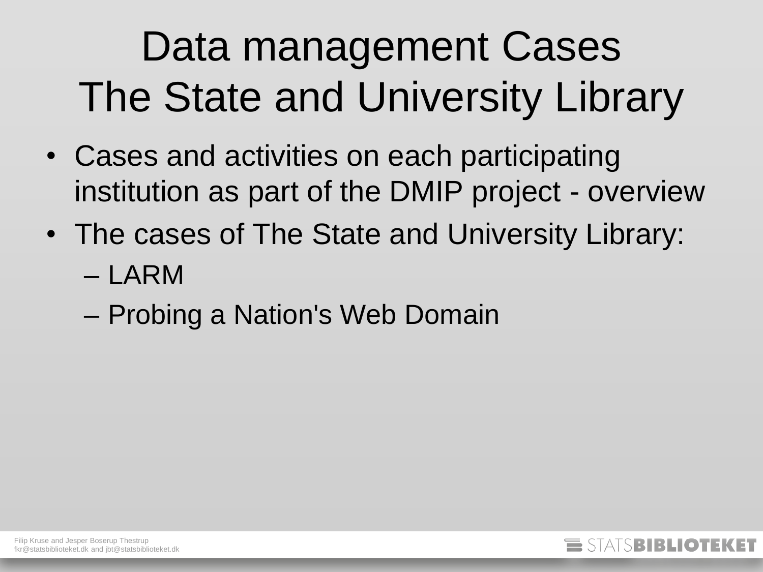### Data management Cases The State and University Library

- Cases and activities on each participating institution as part of the DMIP project - overview
- The cases of The State and University Library: – LARM
	- Probing a Nation's Web Domain

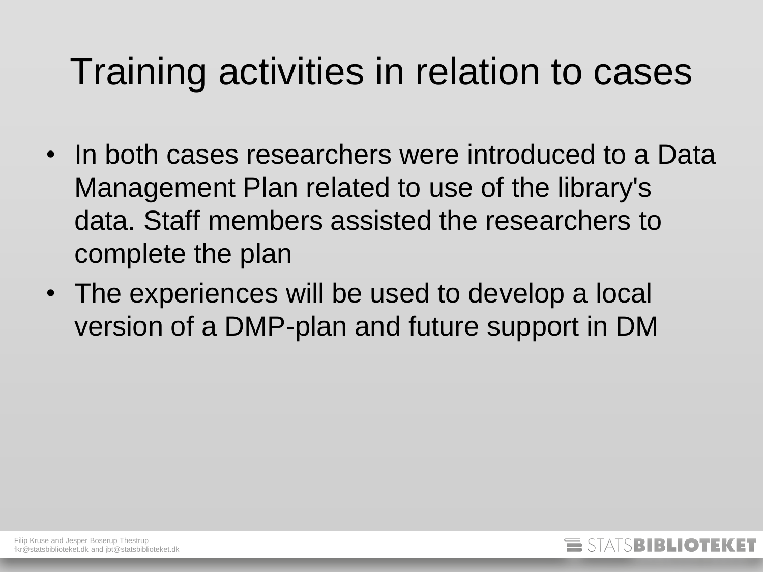#### Training activities in relation to cases

- In both cases researchers were introduced to a Data Management Plan related to use of the library's data. Staff members assisted the researchers to complete the plan
- The experiences will be used to develop a local version of a DMP-plan and future support in DM

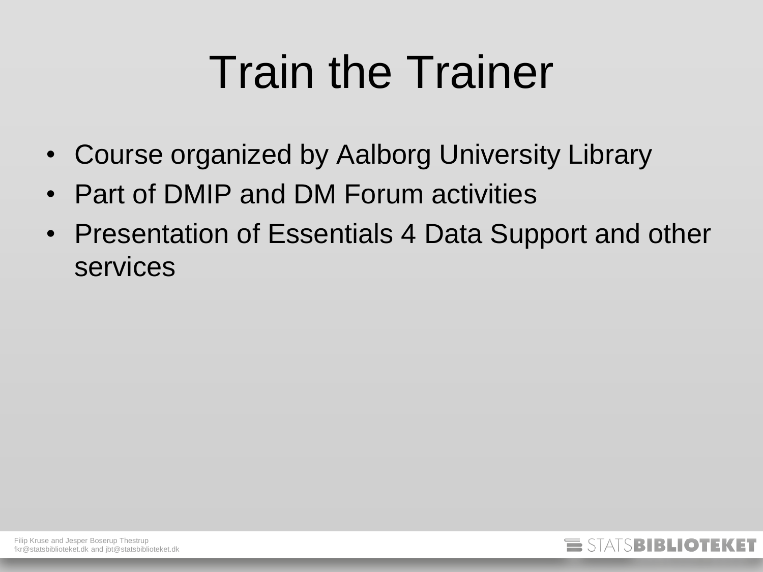## Train the Trainer

- Course organized by Aalborg University Library
- Part of DMIP and DM Forum activities
- Presentation of Essentials 4 Data Support and other services

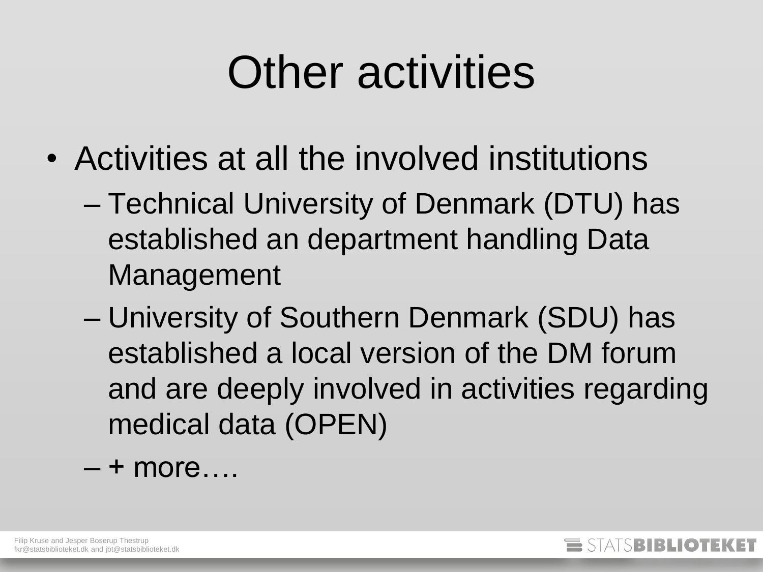### Other activities

- Activities at all the involved institutions
	- Technical University of Denmark (DTU) has established an department handling Data Management
	- University of Southern Denmark (SDU) has established a local version of the DM forum and are deeply involved in activities regarding medical data (OPEN)
	- $-$  + more….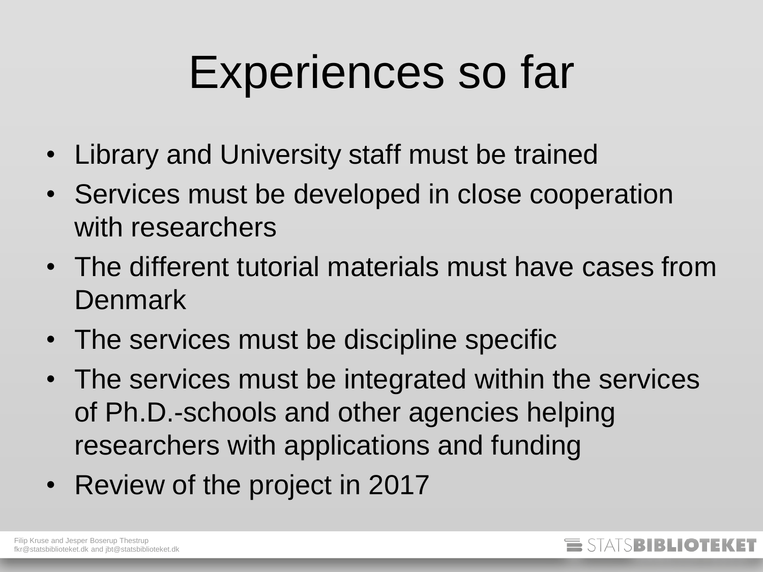### Experiences so far

- Library and University staff must be trained
- Services must be developed in close cooperation with researchers
- The different tutorial materials must have cases from **Denmark**
- The services must be discipline specific
- The services must be integrated within the services of Ph.D.-schools and other agencies helping researchers with applications and funding
- Review of the project in 2017